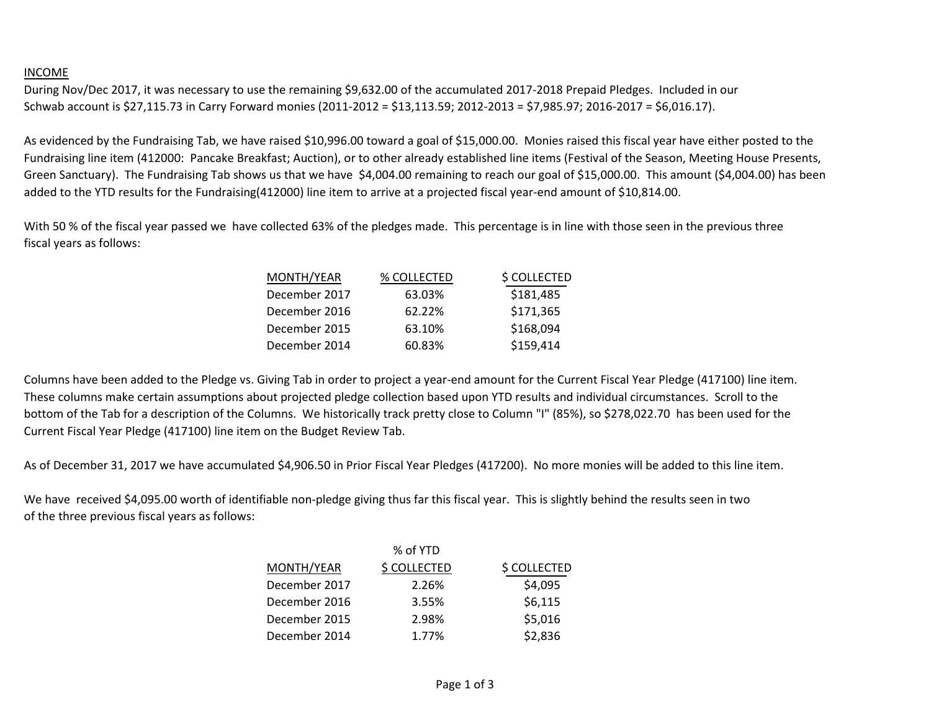## INCOME

During Nov/Dec 2017, it was necessary to use the remaining \$9,632.00 of the accumulated 2017-2018 Prepaid Pledges. Included in our Schwab account is \$27,115.73 in Carry Forward monies (2011-2012 = \$13,113.59; 2012-2013 = \$7,985.97; 2016-2017 = \$6,016.17).

As evidenced by the Fundraising Tab, we have raised \$10,996.00 toward a goal of \$15,000.00. Monies raised this fiscal year have either posted to the Fundraising line item (412000: Pancake Breakfast; Auction), or to other already established line items (Festival of the Season, Meeting House Presents, Green Sanctuary). The Fundraising Tab shows us that we have \$4,004.00 remaining to reach our goal of \$15,000.00. This amount (\$4,004.00) has been added to the YTD results for the Fundraising(412000) line item to arrive at a projected fiscal year-end amount of \$10,814.00.

With 50 % of the fiscal year passed we have collected 63% of the pledges made. This percentage is in line with those seen in the previous three fiscal years as follows:

| MONTH/YEAR    | % COLLECTED | \$ COLLECTED |
|---------------|-------------|--------------|
| December 2017 | 63.03%      | \$181,485    |
| December 2016 | 62.22%      | \$171,365    |
| December 2015 | 63.10%      | \$168,094    |
| December 2014 | 60.83%      | \$159,414    |

Columns have been added to the Pledge vs. Giving Tab in order to project a year-end amount for the Current Fiscal Year Pledge (417100) line item. These columns make certain assumptions about projected pledge collection based upon YTD results and individual circumstances. Scroll to the bottom of the Tab for a description of the Columns. We historically track pretty close to Column "I" (85%), so \$278,022.70 has been used for the Current Fiscal Year Pledge (417100) line item on the Budget Review Tab.

As of December 31, 2017 we have accumulated \$4,906.50 in Prior Fiscal Year Pledges (417200). No more monies will be added to this line item.

We have received \$4,095.00 worth of identifiable non-pledge giving thus far this fiscal year. This is slightly behind the results seen in two of the three previous fiscal years as follows:

|               | % of YTD     |              |
|---------------|--------------|--------------|
| MONTH/YEAR    | \$ COLLECTED | \$ COLLECTED |
| December 2017 | 2.26%        | \$4,095      |
| December 2016 | 3.55%        | \$6,115      |
| December 2015 | 2.98%        | \$5,016      |
| December 2014 | 1.77%        | \$2,836      |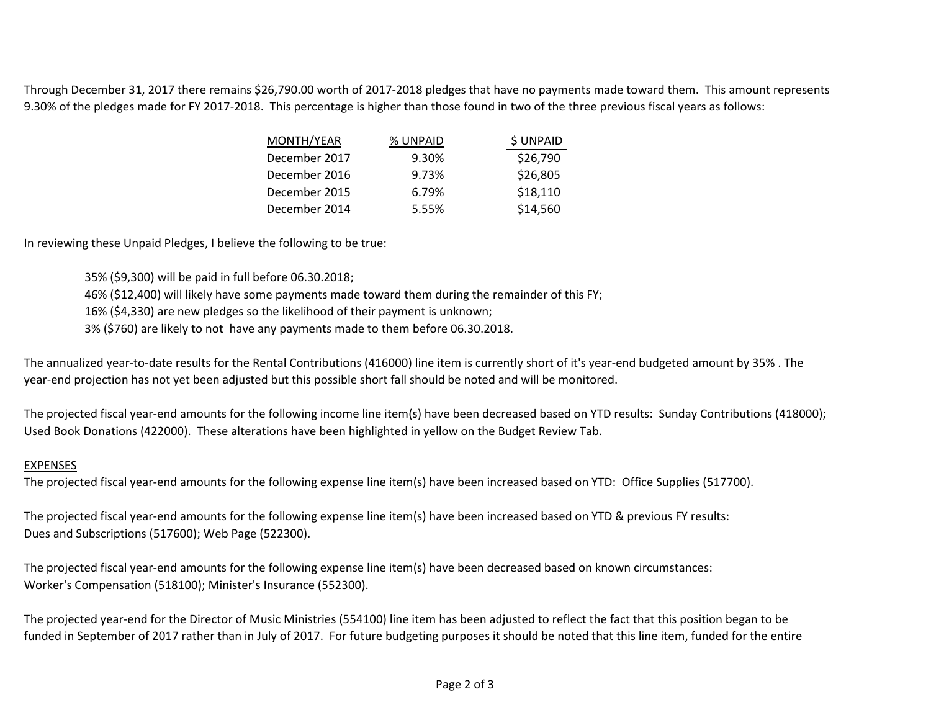Through December 31, 2017 there remains \$26,790.00 worth of 2017-2018 pledges that have no payments made toward them. This amount represents 9.30% of the pledges made for FY 2017-2018. This percentage is higher than those found in two of the three previous fiscal years as follows:

| MONTH/YEAR    | % UNPAID | \$ UNPAID |
|---------------|----------|-----------|
| December 2017 | 9.30%    | \$26,790  |
| December 2016 | 9.73%    | \$26,805  |
| December 2015 | 6.79%    | \$18,110  |
| December 2014 | 5.55%    | \$14,560  |

In reviewing these Unpaid Pledges, I believe the following to be true:

35% (\$9,300) will be paid in full before 06.30.2018;

46% (\$12,400) will likely have some payments made toward them during the remainder of this FY;

16% (\$4,330) are new pledges so the likelihood of their payment is unknown;

3% (\$760) are likely to not have any payments made to them before 06.30.2018.

The annualized year-to-date results for the Rental Contributions (416000) line item is currently short of it's year-end budgeted amount by 35% . The year-end projection has not yet been adjusted but this possible short fall should be noted and will be monitored.

The projected fiscal year-end amounts for the following income line item(s) have been decreased based on YTD results: Sunday Contributions (418000); Used Book Donations (422000). These alterations have been highlighted in yellow on the Budget Review Tab.

## EXPENSES

The projected fiscal year-end amounts for the following expense line item(s) have been increased based on YTD: Office Supplies (517700).

The projected fiscal year-end amounts for the following expense line item(s) have been increased based on YTD & previous FY results: Dues and Subscriptions (517600); Web Page (522300).

The projected fiscal year-end amounts for the following expense line item(s) have been decreased based on known circumstances: Worker's Compensation (518100); Minister's Insurance (552300).

The projected year-end for the Director of Music Ministries (554100) line item has been adjusted to reflect the fact that this position began to be funded in September of 2017 rather than in July of 2017. For future budgeting purposes it should be noted that this line item, funded for the entire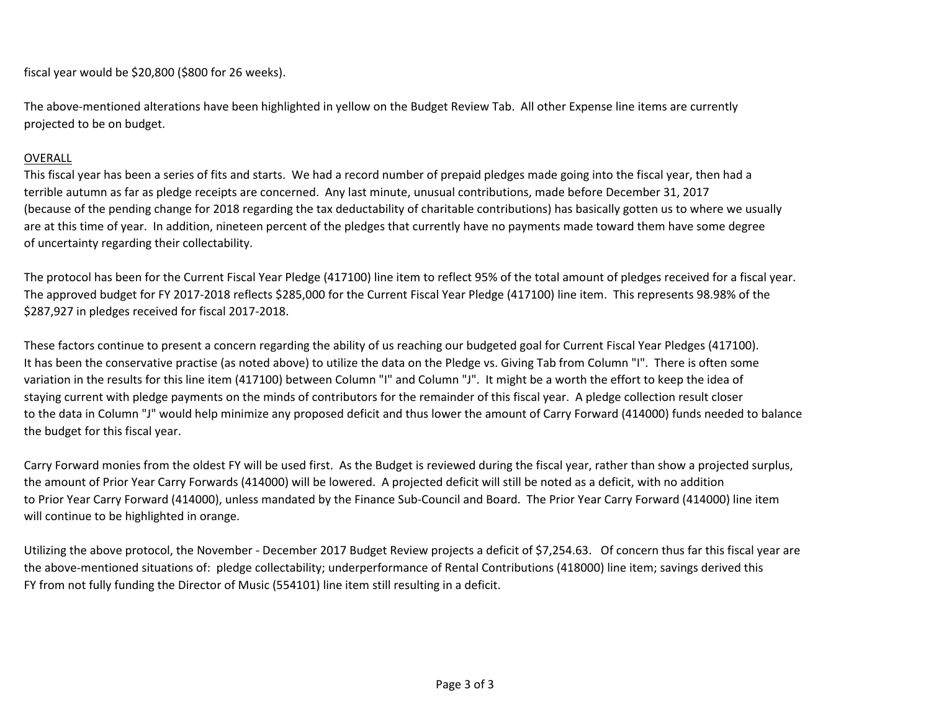fiscal year would be \$20,800 (\$800 for 26 weeks).

The above-mentioned alterations have been highlighted in yellow on the Budget Review Tab. All other Expense line items are currently projected to be on budget.

## OVERALL

This fiscal year has been a series of fits and starts. We had a record number of prepaid pledges made going into the fiscal year, then had a terrible autumn as far as pledge receipts are concerned. Any last minute, unusual contributions, made before December 31, 2017 (because of the pending change for 2018 regarding the tax deductability of charitable contributions) has basically gotten us to where we usually are at this time of year. In addition, nineteen percent of the pledges that currently have no payments made toward them have some degree of uncertainty regarding their collectability.

The protocol has been for the Current Fiscal Year Pledge (417100) line item to reflect 95% of the total amount of pledges received for a fiscal year. The approved budget for FY 2017-2018 reflects \$285,000 for the Current Fiscal Year Pledge (417100) line item. This represents 98.98% of the \$287,927 in pledges received for fiscal 2017-2018.

These factors continue to present a concern regarding the ability of us reaching our budgeted goal for Current Fiscal Year Pledges (417100). It has been the conservative practise (as noted above) to utilize the data on the Pledge vs. Giving Tab from Column "I". There is often some variation in the results for this line item (417100) between Column "I" and Column "J". It might be a worth the effort to keep the idea of staying current with pledge payments on the minds of contributors for the remainder of this fiscal year. A pledge collection result closer to the data in Column "J" would help minimize any proposed deficit and thus lower the amount of Carry Forward (414000) funds needed to balance the budget for this fiscal year.

Carry Forward monies from the oldest FY will be used first. As the Budget is reviewed during the fiscal year, rather than show a projected surplus, the amount of Prior Year Carry Forwards (414000) will be lowered. A projected deficit will still be noted as a deficit, with no addition to Prior Year Carry Forward (414000), unless mandated by the Finance Sub-Council and Board. The Prior Year Carry Forward (414000) line item will continue to be highlighted in orange.

Utilizing the above protocol, the November - December 2017 Budget Review projects a deficit of \$7,254.63. Of concern thus far this fiscal year are the above-mentioned situations of: pledge collectability; underperformance of Rental Contributions (418000) line item; savings derived this FY from not fully funding the Director of Music (554101) line item still resulting in a deficit.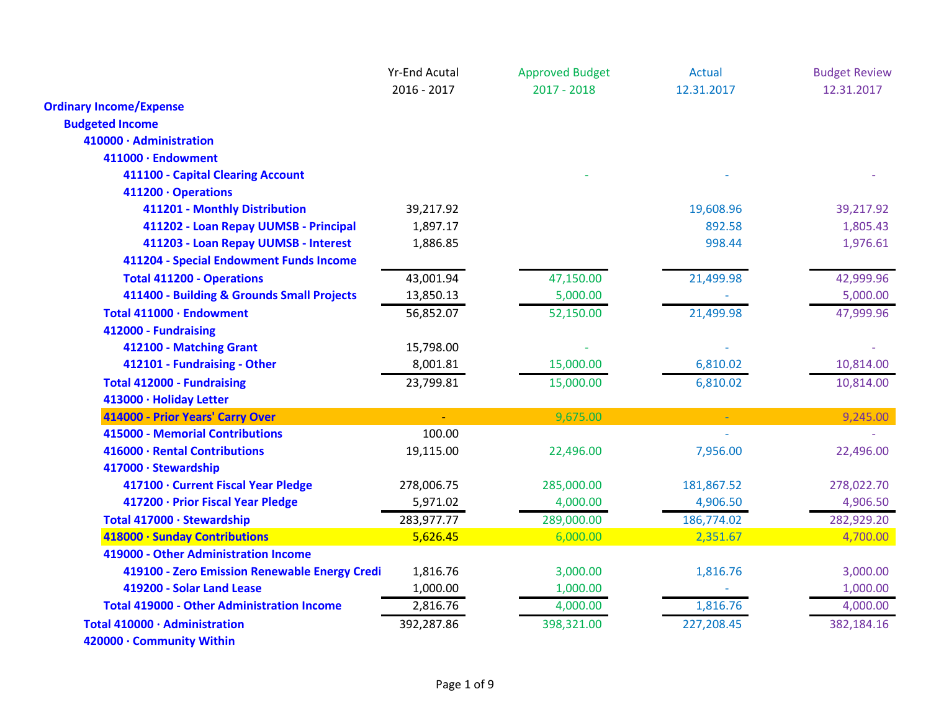|                                                   | <b>Yr-End Acutal</b> | <b>Approved Budget</b> | <b>Actual</b> | <b>Budget Review</b> |
|---------------------------------------------------|----------------------|------------------------|---------------|----------------------|
|                                                   | 2016 - 2017          | $2017 - 2018$          | 12.31.2017    | 12.31.2017           |
| <b>Ordinary Income/Expense</b>                    |                      |                        |               |                      |
| <b>Budgeted Income</b>                            |                      |                        |               |                      |
| 410000 · Administration                           |                      |                        |               |                      |
| 411000 · Endowment                                |                      |                        |               |                      |
| 411100 - Capital Clearing Account                 |                      |                        |               |                      |
| 411200 · Operations                               |                      |                        |               |                      |
| 411201 - Monthly Distribution                     | 39,217.92            |                        | 19,608.96     | 39,217.92            |
| 411202 - Loan Repay UUMSB - Principal             | 1,897.17             |                        | 892.58        | 1,805.43             |
| 411203 - Loan Repay UUMSB - Interest              | 1,886.85             |                        | 998.44        | 1,976.61             |
| 411204 - Special Endowment Funds Income           |                      |                        |               |                      |
| <b>Total 411200 - Operations</b>                  | 43,001.94            | 47,150.00              | 21,499.98     | 42,999.96            |
| 411400 - Building & Grounds Small Projects        | 13,850.13            | 5,000.00               |               | 5,000.00             |
| Total 411000 · Endowment                          | 56,852.07            | 52,150.00              | 21,499.98     | 47,999.96            |
| 412000 - Fundraising                              |                      |                        |               |                      |
| 412100 - Matching Grant                           | 15,798.00            |                        |               |                      |
| 412101 - Fundraising - Other                      | 8,001.81             | 15,000.00              | 6,810.02      | 10,814.00            |
| <b>Total 412000 - Fundraising</b>                 | 23,799.81            | 15,000.00              | 6,810.02      | 10,814.00            |
| 413000 · Holiday Letter                           |                      |                        |               |                      |
| 414000 - Prior Years' Carry Over                  |                      | 9,675.00               |               | 9,245.00             |
| 415000 - Memorial Contributions                   | 100.00               |                        |               |                      |
| 416000 · Rental Contributions                     | 19,115.00            | 22,496.00              | 7,956.00      | 22,496.00            |
| 417000 · Stewardship                              |                      |                        |               |                      |
| 417100 · Current Fiscal Year Pledge               | 278,006.75           | 285,000.00             | 181,867.52    | 278,022.70           |
| 417200 · Prior Fiscal Year Pledge                 | 5,971.02             | 4,000.00               | 4,906.50      | 4,906.50             |
| Total 417000 · Stewardship                        | 283,977.77           | 289,000.00             | 186,774.02    | 282,929.20           |
| 418000 · Sunday Contributions                     | 5,626.45             | 6,000.00               | 2,351.67      | 4,700.00             |
| 419000 - Other Administration Income              |                      |                        |               |                      |
| 419100 - Zero Emission Renewable Energy Credi     | 1,816.76             | 3,000.00               | 1,816.76      | 3,000.00             |
| 419200 - Solar Land Lease                         | 1,000.00             | 1,000.00               |               | 1,000.00             |
| <b>Total 419000 - Other Administration Income</b> | 2,816.76             | 4,000.00               | 1,816.76      | 4,000.00             |
| Total 410000 · Administration                     | 392,287.86           | 398,321.00             | 227,208.45    | 382,184.16           |
| 420000 · Community Within                         |                      |                        |               |                      |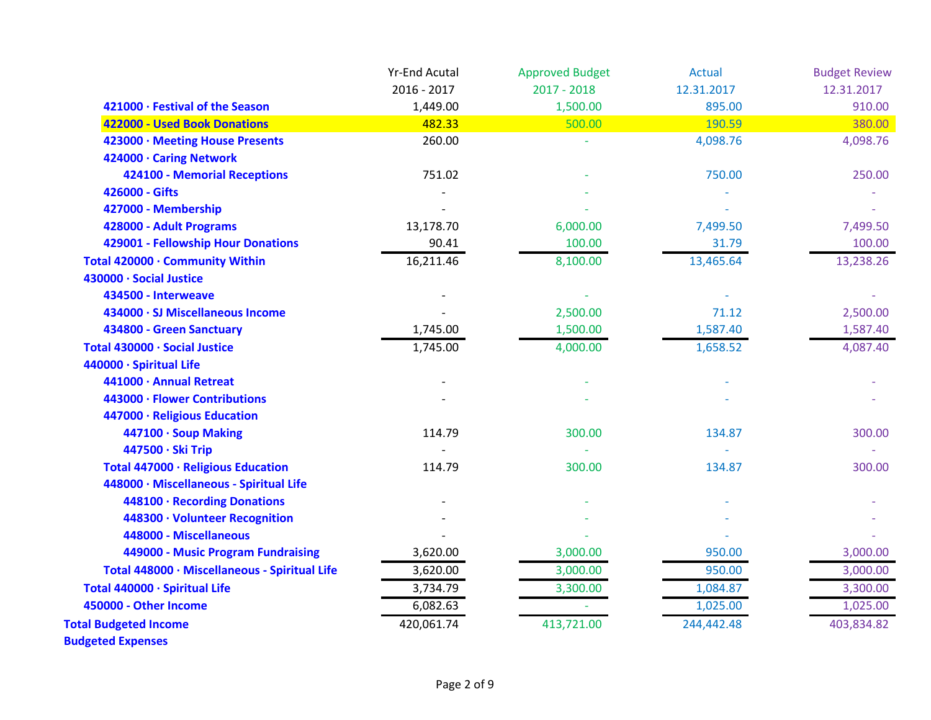|                                               | <b>Yr-End Acutal</b> | <b>Approved Budget</b> | <b>Actual</b> | <b>Budget Review</b> |
|-----------------------------------------------|----------------------|------------------------|---------------|----------------------|
|                                               | 2016 - 2017          | $2017 - 2018$          | 12.31.2017    | 12.31.2017           |
| 421000 · Festival of the Season               | 1,449.00             | 1,500.00               | 895.00        | 910.00               |
| 422000 - Used Book Donations                  | 482.33               | 500.00                 | 190.59        | 380.00               |
| 423000 · Meeting House Presents               | 260.00               |                        | 4,098.76      | 4,098.76             |
| 424000 · Caring Network                       |                      |                        |               |                      |
| <b>424100 - Memorial Receptions</b>           | 751.02               |                        | 750.00        | 250.00               |
| 426000 - Gifts                                |                      |                        |               |                      |
| 427000 - Membership                           |                      |                        |               |                      |
| 428000 - Adult Programs                       | 13,178.70            | 6,000.00               | 7,499.50      | 7,499.50             |
| 429001 - Fellowship Hour Donations            | 90.41                | 100.00                 | 31.79         | 100.00               |
| Total 420000 · Community Within               | 16,211.46            | 8,100.00               | 13,465.64     | 13,238.26            |
| 430000 · Social Justice                       |                      |                        |               |                      |
| 434500 - Interweave                           |                      |                        |               |                      |
| 434000 · SJ Miscellaneous Income              |                      | 2,500.00               | 71.12         | 2,500.00             |
| 434800 - Green Sanctuary                      | 1,745.00             | 1,500.00               | 1,587.40      | 1,587.40             |
| Total 430000 · Social Justice                 | 1,745.00             | 4,000.00               | 1,658.52      | 4,087.40             |
| 440000 · Spiritual Life                       |                      |                        |               |                      |
| 441000 · Annual Retreat                       |                      |                        |               |                      |
| 443000 · Flower Contributions                 |                      |                        |               |                      |
| 447000 · Religious Education                  |                      |                        |               |                      |
| 447100 · Soup Making                          | 114.79               | 300.00                 | 134.87        | 300.00               |
| 447500 · Ski Trip                             |                      |                        |               |                      |
| Total 447000 · Religious Education            | 114.79               | 300.00                 | 134.87        | 300.00               |
| 448000 · Miscellaneous - Spiritual Life       |                      |                        |               |                      |
| 448100 · Recording Donations                  |                      |                        |               |                      |
| 448300 · Volunteer Recognition                |                      |                        |               |                      |
| 448000 - Miscellaneous                        |                      |                        |               |                      |
| 449000 - Music Program Fundraising            | 3,620.00             | 3,000.00               | 950.00        | 3,000.00             |
| Total 448000 · Miscellaneous - Spiritual Life | 3,620.00             | 3,000.00               | 950.00        | 3,000.00             |
| Total 440000 · Spiritual Life                 | 3,734.79             | 3,300.00               | 1,084.87      | 3,300.00             |
| 450000 - Other Income                         | 6,082.63             |                        | 1,025.00      | 1,025.00             |
| <b>Total Budgeted Income</b>                  | 420,061.74           | 413,721.00             | 244,442.48    | 403,834.82           |
| <b>Budgeted Expenses</b>                      |                      |                        |               |                      |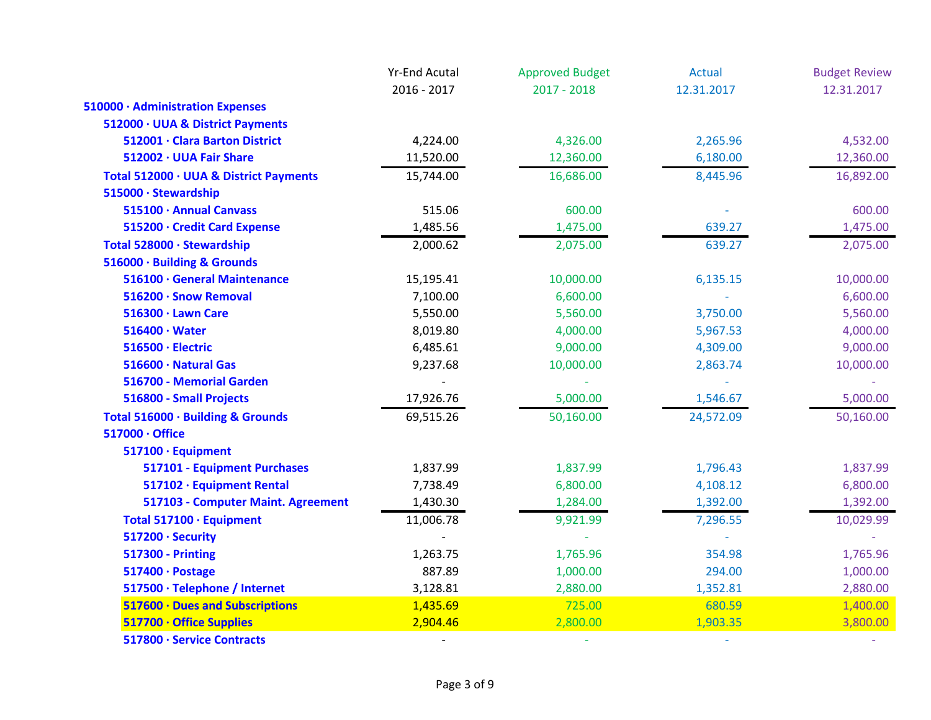|                                        | <b>Yr-End Acutal</b>     | <b>Approved Budget</b> | Actual                   | <b>Budget Review</b> |
|----------------------------------------|--------------------------|------------------------|--------------------------|----------------------|
|                                        | 2016 - 2017              | $2017 - 2018$          | 12.31.2017               | 12.31.2017           |
| 510000 · Administration Expenses       |                          |                        |                          |                      |
| 512000 · UUA & District Payments       |                          |                        |                          |                      |
| 512001 · Clara Barton District         | 4,224.00                 | 4,326.00               | 2,265.96                 | 4,532.00             |
| 512002 · UUA Fair Share                | 11,520.00                | 12,360.00              | 6,180.00                 | 12,360.00            |
| Total 512000 · UUA & District Payments | 15,744.00                | 16,686.00              | 8,445.96                 | 16,892.00            |
| 515000 · Stewardship                   |                          |                        |                          |                      |
| 515100 · Annual Canvass                | 515.06                   | 600.00                 |                          | 600.00               |
| 515200 · Credit Card Expense           | 1,485.56                 | 1,475.00               | 639.27                   | 1,475.00             |
| Total 528000 · Stewardship             | 2,000.62                 | 2,075.00               | 639.27                   | 2,075.00             |
| 516000 · Building & Grounds            |                          |                        |                          |                      |
| 516100 · General Maintenance           | 15,195.41                | 10,000.00              | 6,135.15                 | 10,000.00            |
| 516200 · Snow Removal                  | 7,100.00                 | 6,600.00               |                          | 6,600.00             |
| 516300 · Lawn Care                     | 5,550.00                 | 5,560.00               | 3,750.00                 | 5,560.00             |
| $516400 \cdot Water$                   | 8,019.80                 | 4,000.00               | 5,967.53                 | 4,000.00             |
| 516500 · Electric                      | 6,485.61                 | 9,000.00               | 4,309.00                 | 9,000.00             |
| 516600 · Natural Gas                   | 9,237.68                 | 10,000.00              | 2,863.74                 | 10,000.00            |
| 516700 - Memorial Garden               |                          |                        |                          |                      |
| 516800 - Small Projects                | 17,926.76                | 5,000.00               | 1,546.67                 | 5,000.00             |
| Total 516000 · Building & Grounds      | 69,515.26                | 50,160.00              | 24,572.09                | 50,160.00            |
| 517000 · Office                        |                          |                        |                          |                      |
| 517100 · Equipment                     |                          |                        |                          |                      |
| 517101 - Equipment Purchases           | 1,837.99                 | 1,837.99               | 1,796.43                 | 1,837.99             |
| 517102 · Equipment Rental              | 7,738.49                 | 6,800.00               | 4,108.12                 | 6,800.00             |
| 517103 - Computer Maint. Agreement     | 1,430.30                 | 1,284.00               | 1,392.00                 | 1,392.00             |
| Total 517100 · Equipment               | 11,006.78                | 9,921.99               | 7,296.55                 | 10,029.99            |
| 517200 · Security                      |                          |                        |                          |                      |
| <b>517300 - Printing</b>               | 1,263.75                 | 1,765.96               | 354.98                   | 1,765.96             |
| 517400 · Postage                       | 887.89                   | 1,000.00               | 294.00                   | 1,000.00             |
| 517500 · Telephone / Internet          | 3,128.81                 | 2,880.00               | 1,352.81                 | 2,880.00             |
| 517600 · Dues and Subscriptions        | 1,435.69                 | 725.00                 | 680.59                   | 1,400.00             |
| 517700 · Office Supplies               | 2,904.46                 | 2,800.00               | 1,903.35                 | 3,800.00             |
| 517800 · Service Contracts             | $\overline{\phantom{a}}$ |                        | $\overline{\phantom{a}}$ |                      |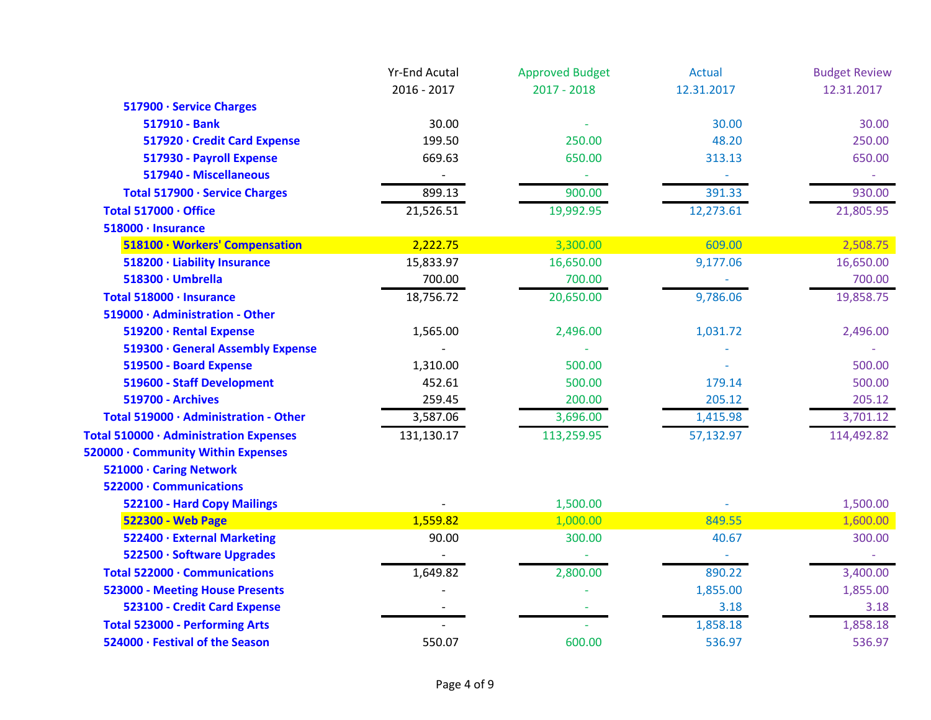|                                        | <b>Yr-End Acutal</b> | <b>Approved Budget</b> | <b>Actual</b> | <b>Budget Review</b> |
|----------------------------------------|----------------------|------------------------|---------------|----------------------|
|                                        | 2016 - 2017          | $2017 - 2018$          | 12.31.2017    | 12.31.2017           |
| 517900 · Service Charges               |                      |                        |               |                      |
| 517910 - Bank                          | 30.00                |                        | 30.00         | 30.00                |
| 517920 · Credit Card Expense           | 199.50               | 250.00                 | 48.20         | 250.00               |
| 517930 - Payroll Expense               | 669.63               | 650.00                 | 313.13        | 650.00               |
| 517940 - Miscellaneous                 |                      |                        |               |                      |
| Total 517900 · Service Charges         | 899.13               | 900.00                 | 391.33        | 930.00               |
| Total 517000 · Office                  | 21,526.51            | 19,992.95              | 12,273.61     | 21,805.95            |
| 518000 · Insurance                     |                      |                        |               |                      |
| 518100 · Workers' Compensation         | 2,222.75             | 3,300.00               | 609.00        | 2,508.75             |
| 518200 · Liability Insurance           | 15,833.97            | 16,650.00              | 9,177.06      | 16,650.00            |
| 518300 · Umbrella                      | 700.00               | 700.00                 |               | 700.00               |
| Total 518000 · Insurance               | 18,756.72            | 20,650.00              | 9,786.06      | 19,858.75            |
| 519000 · Administration - Other        |                      |                        |               |                      |
| 519200 · Rental Expense                | 1,565.00             | 2,496.00               | 1,031.72      | 2,496.00             |
| 519300 · General Assembly Expense      |                      |                        |               |                      |
| 519500 - Board Expense                 | 1,310.00             | 500.00                 |               | 500.00               |
| 519600 - Staff Development             | 452.61               | 500.00                 | 179.14        | 500.00               |
| <b>519700 - Archives</b>               | 259.45               | 200.00                 | 205.12        | 205.12               |
| Total 519000 · Administration - Other  | 3,587.06             | 3,696.00               | 1,415.98      | 3,701.12             |
| Total 510000 · Administration Expenses | 131,130.17           | 113,259.95             | 57,132.97     | 114,492.82           |
| 520000 · Community Within Expenses     |                      |                        |               |                      |
| 521000 · Caring Network                |                      |                        |               |                      |
| 522000 · Communications                |                      |                        |               |                      |
| 522100 - Hard Copy Mailings            |                      | 1,500.00               |               | 1,500.00             |
| <b>522300 - Web Page</b>               | 1,559.82             | 1,000.00               | 849.55        | 1,600.00             |
| 522400 · External Marketing            | 90.00                | 300.00                 | 40.67         | 300.00               |
| 522500 · Software Upgrades             |                      |                        |               |                      |
| Total 522000 · Communications          | 1,649.82             | 2,800.00               | 890.22        | 3,400.00             |
| <b>523000 - Meeting House Presents</b> |                      |                        | 1,855.00      | 1,855.00             |
| 523100 - Credit Card Expense           |                      |                        | 3.18          | 3.18                 |
| <b>Total 523000 - Performing Arts</b>  |                      |                        | 1,858.18      | 1,858.18             |
| 524000 · Festival of the Season        | 550.07               | 600.00                 | 536.97        | 536.97               |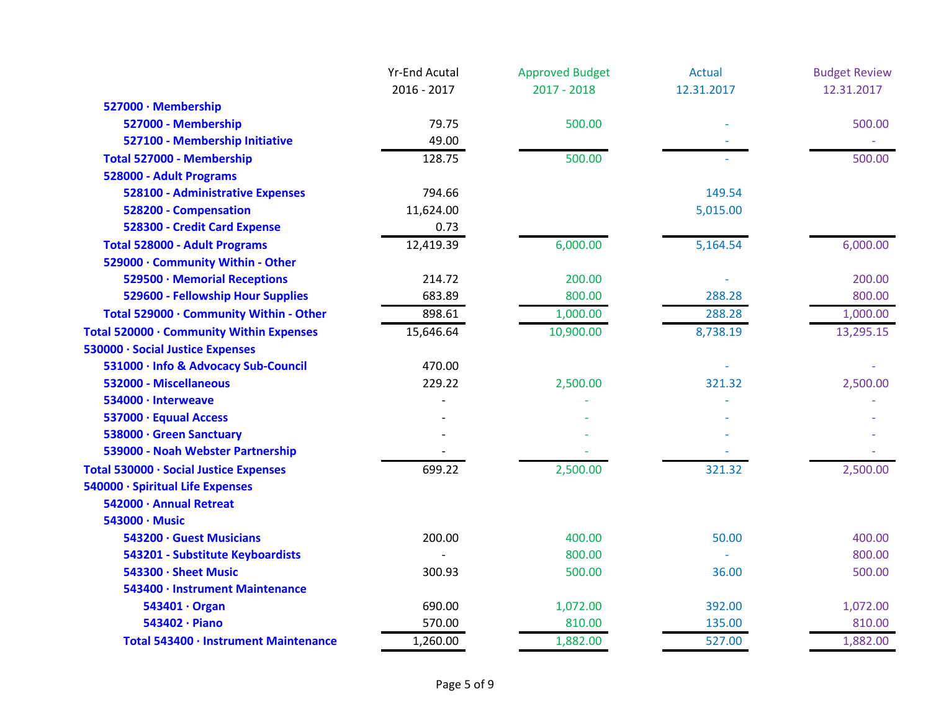|                                          | <b>Yr-End Acutal</b> | <b>Approved Budget</b> | <b>Actual</b> | <b>Budget Review</b> |
|------------------------------------------|----------------------|------------------------|---------------|----------------------|
|                                          | 2016 - 2017          | $2017 - 2018$          | 12.31.2017    | 12.31.2017           |
| 527000 · Membership                      |                      |                        |               |                      |
| 527000 - Membership                      | 79.75                | 500.00                 |               | 500.00               |
| 527100 - Membership Initiative           | 49.00                |                        |               |                      |
| Total 527000 - Membership                | 128.75               | 500.00                 |               | 500.00               |
| 528000 - Adult Programs                  |                      |                        |               |                      |
| 528100 - Administrative Expenses         | 794.66               |                        | 149.54        |                      |
| 528200 - Compensation                    | 11,624.00            |                        | 5,015.00      |                      |
| 528300 - Credit Card Expense             | 0.73                 |                        |               |                      |
| <b>Total 528000 - Adult Programs</b>     | 12,419.39            | 6,000.00               | 5,164.54      | 6,000.00             |
| 529000 · Community Within - Other        |                      |                        |               |                      |
| 529500 · Memorial Receptions             | 214.72               | 200.00                 |               | 200.00               |
| 529600 - Fellowship Hour Supplies        | 683.89               | 800.00                 | 288.28        | 800.00               |
| Total 529000 · Community Within - Other  | 898.61               | 1,000.00               | 288.28        | 1,000.00             |
| Total 520000 · Community Within Expenses | 15,646.64            | 10,900.00              | 8,738.19      | 13,295.15            |
| 530000 · Social Justice Expenses         |                      |                        |               |                      |
| 531000 · Info & Advocacy Sub-Council     | 470.00               |                        |               |                      |
| 532000 - Miscellaneous                   | 229.22               | 2,500.00               | 321.32        | 2,500.00             |
| 534000 · Interweave                      |                      |                        |               |                      |
| 537000 · Equual Access                   |                      |                        |               |                      |
| 538000 · Green Sanctuary                 |                      |                        |               |                      |
| 539000 - Noah Webster Partnership        |                      |                        |               |                      |
| Total 530000 · Social Justice Expenses   | 699.22               | 2,500.00               | 321.32        | 2,500.00             |
| 540000 · Spiritual Life Expenses         |                      |                        |               |                      |
| 542000 · Annual Retreat                  |                      |                        |               |                      |
| 543000 · Music                           |                      |                        |               |                      |
| 543200 · Guest Musicians                 | 200.00               | 400.00                 | 50.00         | 400.00               |
| 543201 - Substitute Keyboardists         |                      | 800.00                 |               | 800.00               |
| 543300 · Sheet Music                     | 300.93               | 500.00                 | 36.00         | 500.00               |
| 543400 · Instrument Maintenance          |                      |                        |               |                      |
| 543401 · Organ                           | 690.00               | 1,072.00               | 392.00        | 1,072.00             |
| 543402 · Piano                           | 570.00               | 810.00                 | 135.00        | 810.00               |
| Total 543400 · Instrument Maintenance    | 1,260.00             | 1,882.00               | 527.00        | 1,882.00             |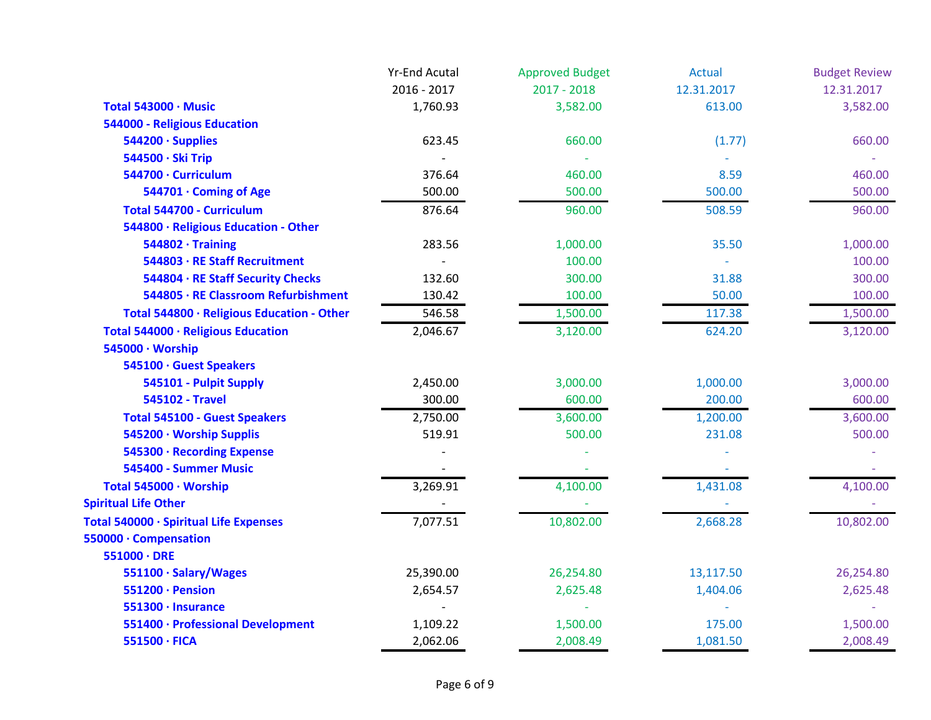|                                            | <b>Yr-End Acutal</b> | <b>Approved Budget</b> | <b>Actual</b> | <b>Budget Review</b> |
|--------------------------------------------|----------------------|------------------------|---------------|----------------------|
|                                            | 2016 - 2017          | $2017 - 2018$          | 12.31.2017    | 12.31.2017           |
| Total 543000 · Music                       | 1,760.93             | 3,582.00               | 613.00        | 3,582.00             |
| 544000 - Religious Education               |                      |                        |               |                      |
| $544200 \cdot$ Supplies                    | 623.45               | 660.00                 | (1.77)        | 660.00               |
| 544500 · Ski Trip                          |                      |                        |               |                      |
| 544700 · Curriculum                        | 376.64               | 460.00                 | 8.59          | 460.00               |
| 544701 · Coming of Age                     | 500.00               | 500.00                 | 500.00        | 500.00               |
| <b>Total 544700 - Curriculum</b>           | 876.64               | 960.00                 | 508.59        | 960.00               |
| 544800 · Religious Education - Other       |                      |                        |               |                      |
| $544802 \cdot$ Training                    | 283.56               | 1,000.00               | 35.50         | 1,000.00             |
| 544803 · RE Staff Recruitment              |                      | 100.00                 |               | 100.00               |
| 544804 · RE Staff Security Checks          | 132.60               | 300.00                 | 31.88         | 300.00               |
| 544805 · RE Classroom Refurbishment        | 130.42               | 100.00                 | 50.00         | 100.00               |
| Total 544800 · Religious Education - Other | 546.58               | 1,500.00               | 117.38        | 1,500.00             |
| Total 544000 · Religious Education         | 2,046.67             | 3,120.00               | 624.20        | 3,120.00             |
| 545000 · Worship                           |                      |                        |               |                      |
| 545100 · Guest Speakers                    |                      |                        |               |                      |
| 545101 - Pulpit Supply                     | 2,450.00             | 3,000.00               | 1,000.00      | 3,000.00             |
| <b>545102 - Travel</b>                     | 300.00               | 600.00                 | 200.00        | 600.00               |
| <b>Total 545100 - Guest Speakers</b>       | 2,750.00             | 3,600.00               | 1,200.00      | 3,600.00             |
| 545200 · Worship Supplis                   | 519.91               | 500.00                 | 231.08        | 500.00               |
| 545300 · Recording Expense                 |                      |                        |               |                      |
| 545400 - Summer Music                      |                      |                        |               |                      |
| Total 545000 · Worship                     | 3,269.91             | 4,100.00               | 1,431.08      | 4,100.00             |
| <b>Spiritual Life Other</b>                |                      |                        |               |                      |
| Total 540000 · Spiritual Life Expenses     | 7,077.51             | 10,802.00              | 2,668.28      | 10,802.00            |
| 550000 · Compensation                      |                      |                        |               |                      |
| $551000 \cdot DRE$                         |                      |                        |               |                      |
| 551100 · Salary/Wages                      | 25,390.00            | 26,254.80              | 13,117.50     | 26,254.80            |
| 551200 · Pension                           | 2,654.57             | 2,625.48               | 1,404.06      | 2,625.48             |
| 551300 · Insurance                         |                      |                        |               |                      |
| 551400 · Professional Development          | 1,109.22             | 1,500.00               | 175.00        | 1,500.00             |
| 551500 · FICA                              | 2,062.06             | 2,008.49               | 1,081.50      | 2,008.49             |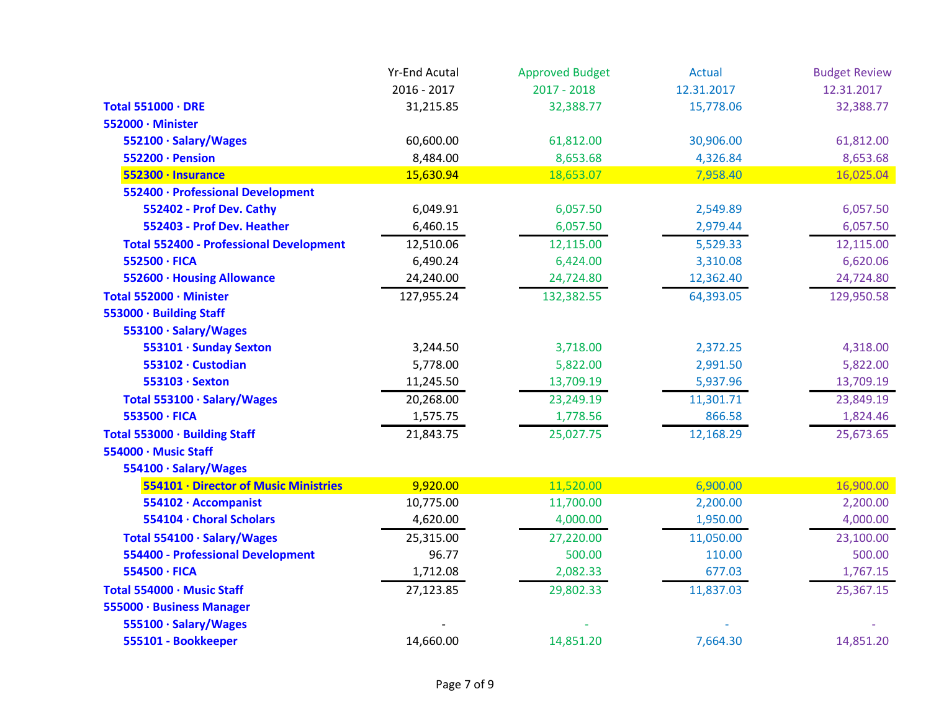|                                                | <b>Yr-End Acutal</b> | <b>Approved Budget</b> | <b>Actual</b> | <b>Budget Review</b> |
|------------------------------------------------|----------------------|------------------------|---------------|----------------------|
|                                                | 2016 - 2017          | $2017 - 2018$          | 12.31.2017    | 12.31.2017           |
| Total 551000 · DRE                             | 31,215.85            | 32,388.77              | 15,778.06     | 32,388.77            |
| 552000 · Minister                              |                      |                        |               |                      |
| 552100 · Salary/Wages                          | 60,600.00            | 61,812.00              | 30,906.00     | 61,812.00            |
| 552200 · Pension                               | 8,484.00             | 8,653.68               | 4,326.84      | 8,653.68             |
| 552300 · Insurance                             | 15,630.94            | 18,653.07              | 7,958.40      | 16,025.04            |
| 552400 · Professional Development              |                      |                        |               |                      |
| 552402 - Prof Dev. Cathy                       | 6,049.91             | 6,057.50               | 2,549.89      | 6,057.50             |
| 552403 - Prof Dev. Heather                     | 6,460.15             | 6,057.50               | 2,979.44      | 6,057.50             |
| <b>Total 552400 - Professional Development</b> | 12,510.06            | 12,115.00              | 5,529.33      | 12,115.00            |
| 552500 · FICA                                  | 6,490.24             | 6,424.00               | 3,310.08      | 6,620.06             |
| 552600 · Housing Allowance                     | 24,240.00            | 24,724.80              | 12,362.40     | 24,724.80            |
| Total 552000 · Minister                        | 127,955.24           | 132,382.55             | 64,393.05     | 129,950.58           |
| 553000 · Building Staff                        |                      |                        |               |                      |
| 553100 · Salary/Wages                          |                      |                        |               |                      |
| 553101 · Sunday Sexton                         | 3,244.50             | 3,718.00               | 2,372.25      | 4,318.00             |
| 553102 · Custodian                             | 5,778.00             | 5,822.00               | 2,991.50      | 5,822.00             |
| 553103 · Sexton                                | 11,245.50            | 13,709.19              | 5,937.96      | 13,709.19            |
| Total 553100 · Salary/Wages                    | 20,268.00            | 23,249.19              | 11,301.71     | 23,849.19            |
| 553500 · FICA                                  | 1,575.75             | 1,778.56               | 866.58        | 1,824.46             |
| Total 553000 · Building Staff                  | 21,843.75            | 25,027.75              | 12,168.29     | 25,673.65            |
| 554000 · Music Staff                           |                      |                        |               |                      |
| 554100 · Salary/Wages                          |                      |                        |               |                      |
| 554101 · Director of Music Ministries          | 9,920.00             | 11,520.00              | 6,900.00      | 16,900.00            |
| 554102 · Accompanist                           | 10,775.00            | 11,700.00              | 2,200.00      | 2,200.00             |
| 554104 · Choral Scholars                       | 4,620.00             | 4,000.00               | 1,950.00      | 4,000.00             |
| Total 554100 · Salary/Wages                    | 25,315.00            | 27,220.00              | 11,050.00     | 23,100.00            |
| <b>554400 - Professional Development</b>       | 96.77                | 500.00                 | 110.00        | 500.00               |
| 554500 · FICA                                  | 1,712.08             | 2,082.33               | 677.03        | 1,767.15             |
| Total 554000 · Music Staff                     | 27,123.85            | 29,802.33              | 11,837.03     | 25,367.15            |
| 555000 · Business Manager                      |                      |                        |               |                      |
| 555100 · Salary/Wages                          |                      |                        |               |                      |
| 555101 - Bookkeeper                            | 14,660.00            | 14,851.20              | 7,664.30      | 14,851.20            |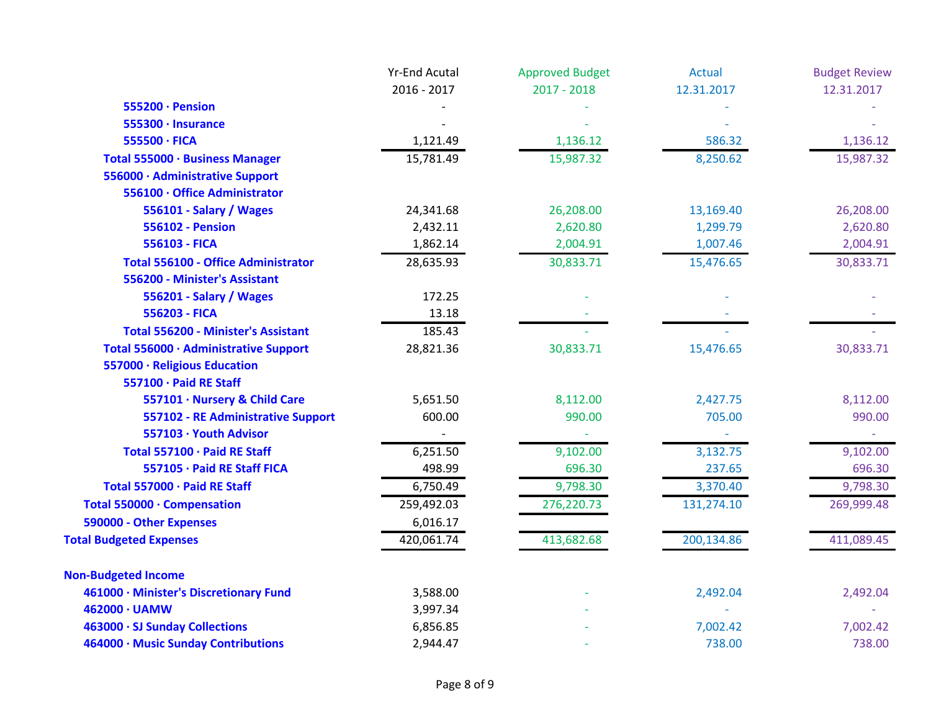|                                            | <b>Yr-End Acutal</b> | <b>Approved Budget</b> | <b>Actual</b> | <b>Budget Review</b> |
|--------------------------------------------|----------------------|------------------------|---------------|----------------------|
|                                            | 2016 - 2017          | $2017 - 2018$          | 12.31.2017    | 12.31.2017           |
| 555200 · Pension                           |                      |                        |               |                      |
| 555300 · Insurance                         |                      |                        |               |                      |
| 555500 · FICA                              | 1,121.49             | 1,136.12               | 586.32        | 1,136.12             |
| Total 555000 · Business Manager            | 15,781.49            | 15,987.32              | 8,250.62      | 15,987.32            |
| 556000 · Administrative Support            |                      |                        |               |                      |
| 556100 · Office Administrator              |                      |                        |               |                      |
| 556101 - Salary / Wages                    | 24,341.68            | 26,208.00              | 13,169.40     | 26,208.00            |
| <b>556102 - Pension</b>                    | 2,432.11             | 2,620.80               | 1,299.79      | 2,620.80             |
| 556103 - FICA                              | 1,862.14             | 2,004.91               | 1,007.46      | 2,004.91             |
| <b>Total 556100 - Office Administrator</b> | 28,635.93            | 30,833.71              | 15,476.65     | 30,833.71            |
| 556200 - Minister's Assistant              |                      |                        |               |                      |
| 556201 - Salary / Wages                    | 172.25               |                        |               |                      |
| 556203 - FICA                              | 13.18                |                        |               |                      |
| <b>Total 556200 - Minister's Assistant</b> | 185.43               |                        |               |                      |
| Total 556000 · Administrative Support      | 28,821.36            | 30,833.71              | 15,476.65     | 30,833.71            |
| 557000 · Religious Education               |                      |                        |               |                      |
| 557100 · Paid RE Staff                     |                      |                        |               |                      |
| 557101 · Nursery & Child Care              | 5,651.50             | 8,112.00               | 2,427.75      | 8,112.00             |
| 557102 - RE Administrative Support         | 600.00               | 990.00                 | 705.00        | 990.00               |
| 557103 · Youth Advisor                     |                      |                        |               |                      |
| Total 557100 · Paid RE Staff               | 6,251.50             | 9,102.00               | 3,132.75      | 9,102.00             |
| 557105 · Paid RE Staff FICA                | 498.99               | 696.30                 | 237.65        | 696.30               |
| Total 557000 · Paid RE Staff               | 6,750.49             | 9,798.30               | 3,370.40      | 9,798.30             |
| Total 550000 · Compensation                | 259,492.03           | 276,220.73             | 131,274.10    | 269,999.48           |
| 590000 - Other Expenses                    | 6,016.17             |                        |               |                      |
| <b>Total Budgeted Expenses</b>             | 420,061.74           | 413,682.68             | 200,134.86    | 411,089.45           |
| <b>Non-Budgeted Income</b>                 |                      |                        |               |                      |
| 461000 · Minister's Discretionary Fund     | 3,588.00             |                        | 2,492.04      | 2,492.04             |
| 462000 · UAMW                              | 3,997.34             |                        |               |                      |
| 463000 · SJ Sunday Collections             | 6,856.85             |                        | 7,002.42      | 7,002.42             |
| 464000 · Music Sunday Contributions        | 2,944.47             |                        | 738.00        | 738.00               |